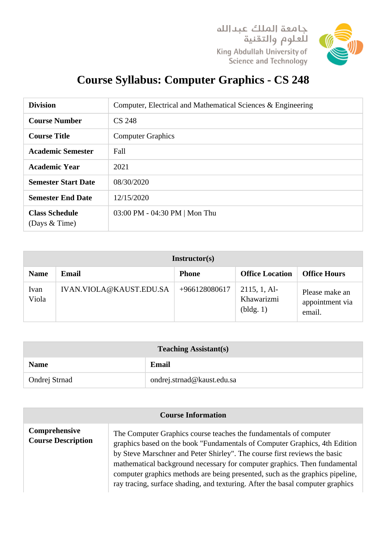



## **Course Syllabus: Computer Graphics - CS 248**

| <b>Division</b>                          | Computer, Electrical and Mathematical Sciences & Engineering |
|------------------------------------------|--------------------------------------------------------------|
| <b>Course Number</b>                     | <b>CS 248</b>                                                |
| <b>Course Title</b>                      | <b>Computer Graphics</b>                                     |
| <b>Academic Semester</b>                 | Fall                                                         |
| <b>Academic Year</b>                     | 2021                                                         |
| <b>Semester Start Date</b>               | 08/30/2020                                                   |
| <b>Semester End Date</b>                 | 12/15/2020                                                   |
| <b>Class Schedule</b><br>(Days $&$ Time) | 03:00 PM - 04:30 PM   Mon Thu                                |

| Instructor(s) |                         |               |                                           |                                             |  |
|---------------|-------------------------|---------------|-------------------------------------------|---------------------------------------------|--|
| <b>Name</b>   | Email                   | <b>Phone</b>  | <b>Office Location</b>                    | <b>Office Hours</b>                         |  |
| Ivan<br>Viola | IVAN.VIOLA@KAUST.EDU.SA | +966128080617 | $2115, 1, Al-$<br>Khawarizmi<br>(bldg. 1) | Please make an<br>appointment via<br>email. |  |

| <b>Teaching Assistant(s)</b> |                            |  |
|------------------------------|----------------------------|--|
| <b>Name</b>                  | Email                      |  |
| Ondrej Strnad                | ondrej.strnad@kaust.edu.sa |  |

| <b>Course Information</b>                  |                                                                                                                                                                                                                                                                                                                                                                                                                                                                              |  |
|--------------------------------------------|------------------------------------------------------------------------------------------------------------------------------------------------------------------------------------------------------------------------------------------------------------------------------------------------------------------------------------------------------------------------------------------------------------------------------------------------------------------------------|--|
| Comprehensive<br><b>Course Description</b> | The Computer Graphics course teaches the fundamentals of computer<br>graphics based on the book "Fundamentals of Computer Graphics, 4th Edition<br>by Steve Marschner and Peter Shirley". The course first reviews the basic<br>mathematical background necessary for computer graphics. Then fundamental<br>computer graphics methods are being presented, such as the graphics pipeline,<br>ray tracing, surface shading, and texturing. After the basal computer graphics |  |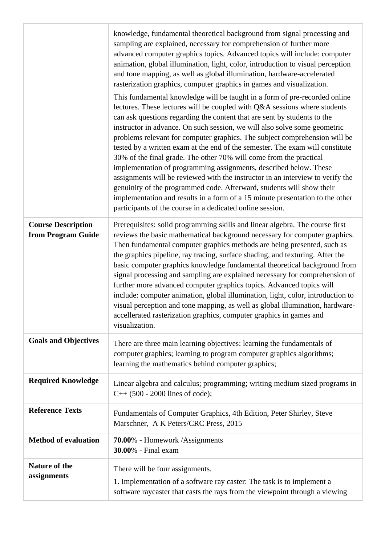|                                                 | knowledge, fundamental theoretical background from signal processing and<br>sampling are explained, necessary for comprehension of further more<br>advanced computer graphics topics. Advanced topics will include: computer<br>animation, global illumination, light, color, introduction to visual perception<br>and tone mapping, as well as global illumination, hardware-accelerated<br>rasterization graphics, computer graphics in games and visualization.<br>This fundamental knowledge will be taught in a form of pre-recorded online<br>lectures. These lectures will be coupled with Q&A sessions where students<br>can ask questions regarding the content that are sent by students to the<br>instructor in advance. On such session, we will also solve some geometric<br>problems relevant for computer graphics. The subject comprehension will be<br>tested by a written exam at the end of the semester. The exam will constitute<br>30% of the final grade. The other 70% will come from the practical<br>implementation of programming assignments, described below. These<br>assignments will be reviewed with the instructor in an interview to verify the<br>genuinity of the programmed code. Afterward, students will show their<br>implementation and results in a form of a 15 minute presentation to the other<br>participants of the course in a dedicated online session. |
|-------------------------------------------------|-----------------------------------------------------------------------------------------------------------------------------------------------------------------------------------------------------------------------------------------------------------------------------------------------------------------------------------------------------------------------------------------------------------------------------------------------------------------------------------------------------------------------------------------------------------------------------------------------------------------------------------------------------------------------------------------------------------------------------------------------------------------------------------------------------------------------------------------------------------------------------------------------------------------------------------------------------------------------------------------------------------------------------------------------------------------------------------------------------------------------------------------------------------------------------------------------------------------------------------------------------------------------------------------------------------------------------------------------------------------------------------------------------------|
| <b>Course Description</b><br>from Program Guide | Prerequisites: solid programming skills and linear algebra. The course first<br>reviews the basic mathematical background necessary for computer graphics.<br>Then fundamental computer graphics methods are being presented, such as<br>the graphics pipeline, ray tracing, surface shading, and texturing. After the<br>basic computer graphics knowledge fundamental theoretical background from<br>signal processing and sampling are explained necessary for comprehension of<br>further more advanced computer graphics topics. Advanced topics will<br>include: computer animation, global illumination, light, color, introduction to<br>visual perception and tone mapping, as well as global illumination, hardware-<br>accellerated rasterization graphics, computer graphics in games and<br>visualization.                                                                                                                                                                                                                                                                                                                                                                                                                                                                                                                                                                                   |
| <b>Goals and Objectives</b>                     | There are three main learning objectives: learning the fundamentals of<br>computer graphics; learning to program computer graphics algorithms;<br>learning the mathematics behind computer graphics;                                                                                                                                                                                                                                                                                                                                                                                                                                                                                                                                                                                                                                                                                                                                                                                                                                                                                                                                                                                                                                                                                                                                                                                                      |
| <b>Required Knowledge</b>                       | Linear algebra and calculus; programming; writing medium sized programs in<br>$C++ (500 - 2000$ lines of code);                                                                                                                                                                                                                                                                                                                                                                                                                                                                                                                                                                                                                                                                                                                                                                                                                                                                                                                                                                                                                                                                                                                                                                                                                                                                                           |
| <b>Reference Texts</b>                          | Fundamentals of Computer Graphics, 4th Edition, Peter Shirley, Steve<br>Marschner, A K Peters/CRC Press, 2015                                                                                                                                                                                                                                                                                                                                                                                                                                                                                                                                                                                                                                                                                                                                                                                                                                                                                                                                                                                                                                                                                                                                                                                                                                                                                             |
| <b>Method of evaluation</b>                     | <b>70.00%</b> - Homework /Assignments<br><b>30.00%</b> - Final exam                                                                                                                                                                                                                                                                                                                                                                                                                                                                                                                                                                                                                                                                                                                                                                                                                                                                                                                                                                                                                                                                                                                                                                                                                                                                                                                                       |
| Nature of the<br>assignments                    | There will be four assignments.<br>1. Implementation of a software ray caster: The task is to implement a<br>software raycaster that casts the rays from the viewpoint through a viewing                                                                                                                                                                                                                                                                                                                                                                                                                                                                                                                                                                                                                                                                                                                                                                                                                                                                                                                                                                                                                                                                                                                                                                                                                  |